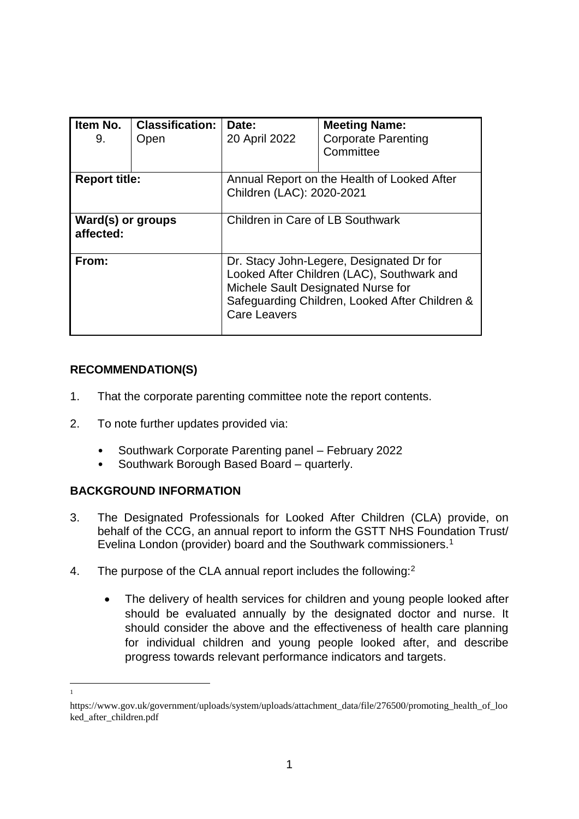| Item No.<br>9.                 | <b>Classification:</b><br>Open | Date:<br>20 April 2022                                                                                                                                                                                | <b>Meeting Name:</b><br><b>Corporate Parenting</b><br>Committee |  |
|--------------------------------|--------------------------------|-------------------------------------------------------------------------------------------------------------------------------------------------------------------------------------------------------|-----------------------------------------------------------------|--|
| <b>Report title:</b>           |                                | Annual Report on the Health of Looked After<br>Children (LAC): 2020-2021                                                                                                                              |                                                                 |  |
| Ward(s) or groups<br>affected: |                                | Children in Care of LB Southwark                                                                                                                                                                      |                                                                 |  |
| From:                          |                                | Dr. Stacy John-Legere, Designated Dr for<br>Looked After Children (LAC), Southwark and<br>Michele Sault Designated Nurse for<br>Safeguarding Children, Looked After Children &<br><b>Care Leavers</b> |                                                                 |  |

# **RECOMMENDATION(S)**

- 1. That the corporate parenting committee note the report contents.
- 2. To note further updates provided via:
	- Southwark Corporate Parenting panel February 2022
	- Southwark Borough Based Board quarterly.

# **BACKGROUND INFORMATION**

1 1

- 3. The Designated Professionals for Looked After Children (CLA) provide, on behalf of the CCG, an annual report to inform the GSTT NHS Foundation Trust/ Evelina London (provider) board and the Southwark commissioners.<sup>1</sup>
- 4. The purpose of the CLA annual report includes the following:<sup>2</sup>
	- The delivery of health services for children and young people looked after should be evaluated annually by the designated doctor and nurse. It should consider the above and the effectiveness of health care planning for individual children and young people looked after, and describe progress towards relevant performance indicators and targets.

https://www.gov.uk/government/uploads/system/uploads/attachment\_data/file/276500/promoting\_health\_of\_loo ked\_after\_children.pdf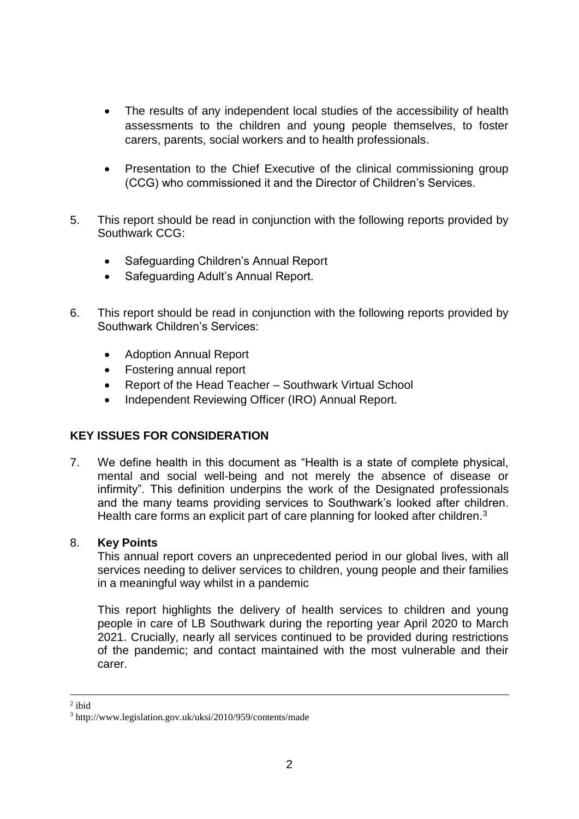- The results of any independent local studies of the accessibility of health assessments to the children and young people themselves, to foster carers, parents, social workers and to health professionals.
- Presentation to the Chief Executive of the clinical commissioning group (CCG) who commissioned it and the Director of Children's Services.
- 5. This report should be read in conjunction with the following reports provided by Southwark CCG:
	- Safeguarding Children's Annual Report
	- Safeguarding Adult's Annual Report.
- 6. This report should be read in conjunction with the following reports provided by Southwark Children's Services:
	- Adoption Annual Report
	- Fostering annual report
	- Report of the Head Teacher Southwark Virtual School
	- Independent Reviewing Officer (IRO) Annual Report.

#### **KEY ISSUES FOR CONSIDERATION**

7. We define health in this document as "Health is a state of complete physical, mental and social well-being and not merely the absence of disease or infirmity". This definition underpins the work of the Designated professionals and the many teams providing services to Southwark's looked after children. Health care forms an explicit part of care planning for looked after children.<sup>3</sup>

#### 8. **Key Points**

This annual report covers an unprecedented period in our global lives, with all services needing to deliver services to children, young people and their families in a meaningful way whilst in a pandemic

This report highlights the delivery of health services to children and young people in care of LB Southwark during the reporting year April 2020 to March 2021. Crucially, nearly all services continued to be provided during restrictions of the pandemic; and contact maintained with the most vulnerable and their carer.

1

<sup>2</sup> ibid

<sup>3</sup> http://www.legislation.gov.uk/uksi/2010/959/contents/made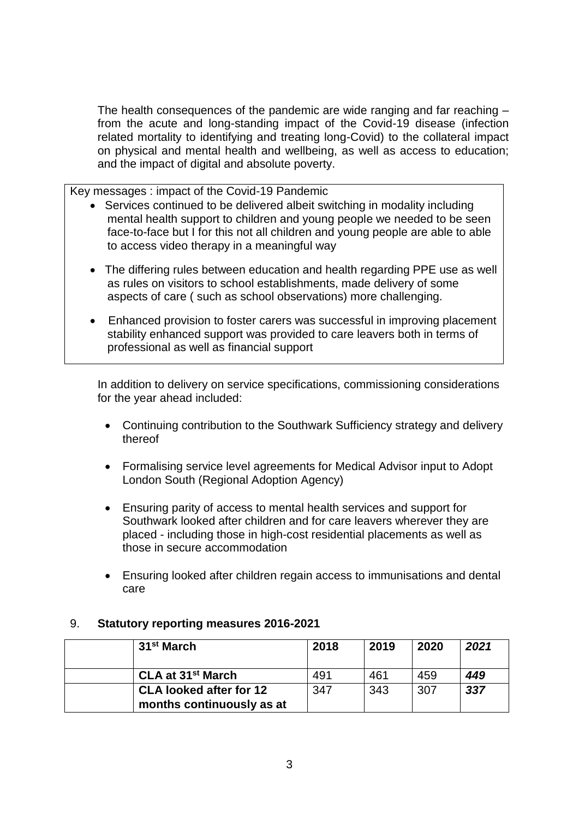The health consequences of the pandemic are wide ranging and far reaching – from the acute and long-standing impact of the Covid-19 disease (infection related mortality to identifying and treating long-Covid) to the collateral impact on physical and mental health and wellbeing, as well as access to education; and the impact of digital and absolute poverty.

Key messages : impact of the Covid-19 Pandemic

- Services continued to be delivered albeit switching in modality including mental health support to children and young people we needed to be seen face-to-face but I for this not all children and young people are able to able to access video therapy in a meaningful way
- The differing rules between education and health regarding PPE use as well as rules on visitors to school establishments, made delivery of some aspects of care ( such as school observations) more challenging.
- Enhanced provision to foster carers was successful in improving placement stability enhanced support was provided to care leavers both in terms of professional as well as financial support

In addition to delivery on service specifications, commissioning considerations for the year ahead included:

- Continuing contribution to the Southwark Sufficiency strategy and delivery thereof
- Formalising service level agreements for Medical Advisor input to Adopt London South (Regional Adoption Agency)
- Ensuring parity of access to mental health services and support for Southwark looked after children and for care leavers wherever they are placed - including those in high-cost residential placements as well as those in secure accommodation
- Ensuring looked after children regain access to immunisations and dental care

#### 9. **Statutory reporting measures 2016-2021**

| 31 <sup>st</sup> March         | 2018 | 2019 | 2020 | 2021 |
|--------------------------------|------|------|------|------|
| CLA at 31 <sup>st</sup> March  | 491  | 461  | 459  | 449  |
| <b>CLA looked after for 12</b> | 347  | 343  | 307  | 337  |
| months continuously as at      |      |      |      |      |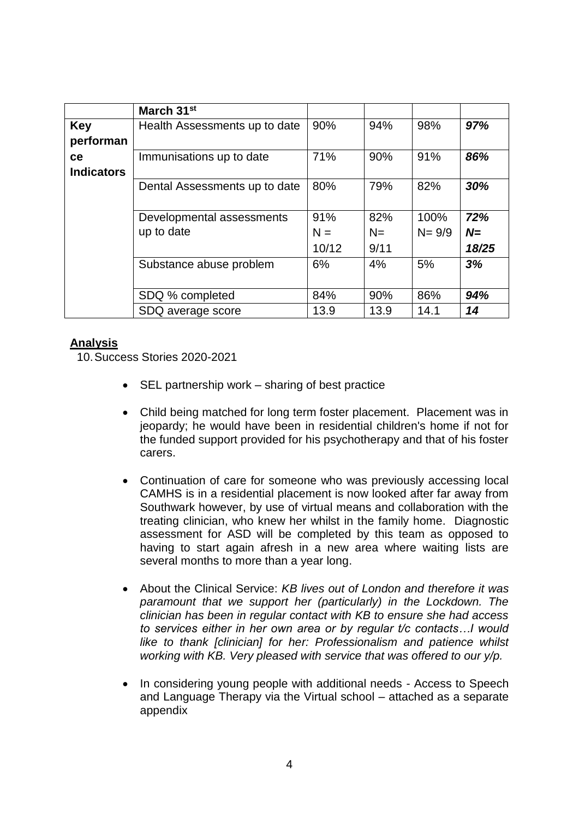|                   | March 31 <sup>st</sup>        |       |      |           |       |
|-------------------|-------------------------------|-------|------|-----------|-------|
| <b>Key</b>        | Health Assessments up to date | 90%   | 94%  | 98%       | 97%   |
| performan         |                               |       |      |           |       |
| ce                | Immunisations up to date      | 71%   | 90%  | 91%       | 86%   |
| <b>Indicators</b> |                               |       |      |           |       |
|                   | Dental Assessments up to date | 80%   | 79%  | 82%       | 30%   |
|                   |                               |       |      |           |       |
|                   | Developmental assessments     | 91%   | 82%  | 100%      | 72%   |
|                   | up to date                    | $N =$ | $N=$ | $N = 9/9$ | $N=$  |
|                   |                               | 10/12 | 9/11 |           | 18/25 |
|                   | Substance abuse problem       | 6%    | 4%   | 5%        | 3%    |
|                   |                               |       |      |           |       |
|                   | SDQ % completed               | 84%   | 90%  | 86%       | 94%   |
|                   | SDQ average score             | 13.9  | 13.9 | 14.1      | 14    |

## **Analysis**

10.Success Stories 2020-2021

- $\bullet$  SEL partnership work sharing of best practice
- Child being matched for long term foster placement. Placement was in jeopardy; he would have been in residential children's home if not for the funded support provided for his psychotherapy and that of his foster carers.
- Continuation of care for someone who was previously accessing local CAMHS is in a residential placement is now looked after far away from Southwark however, by use of virtual means and collaboration with the treating clinician, who knew her whilst in the family home. Diagnostic assessment for ASD will be completed by this team as opposed to having to start again afresh in a new area where waiting lists are several months to more than a year long.
- About the Clinical Service: *KB lives out of London and therefore it was paramount that we support her (particularly) in the Lockdown. The clinician has been in regular contact with KB to ensure she had access to services either in her own area or by regular t/c contacts…I would like to thank [clinician] for her: Professionalism and patience whilst working with KB. Very pleased with service that was offered to our y/p.*
- In considering young people with additional needs Access to Speech and Language Therapy via the Virtual school – attached as a separate appendix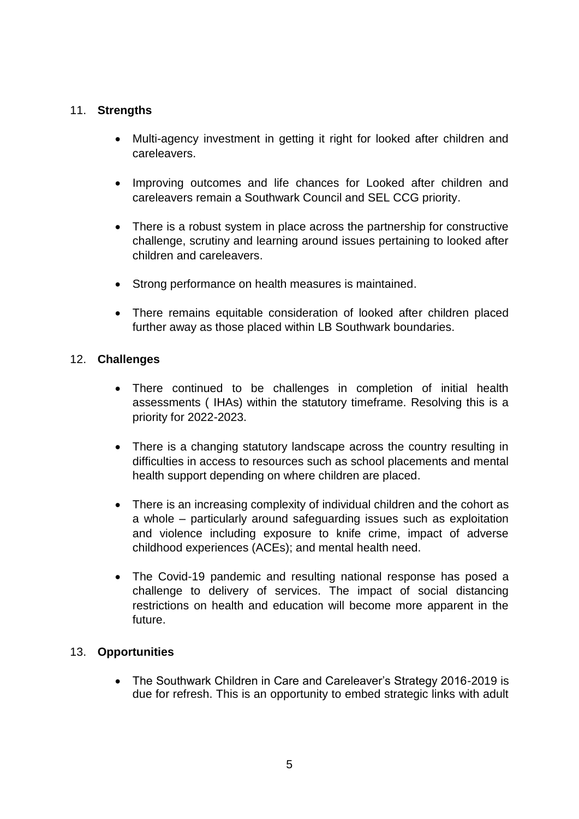## 11. **Strengths**

- Multi-agency investment in getting it right for looked after children and careleavers.
- Improving outcomes and life chances for Looked after children and careleavers remain a Southwark Council and SEL CCG priority.
- There is a robust system in place across the partnership for constructive challenge, scrutiny and learning around issues pertaining to looked after children and careleavers.
- Strong performance on health measures is maintained.
- There remains equitable consideration of looked after children placed further away as those placed within LB Southwark boundaries.

## 12. **Challenges**

- There continued to be challenges in completion of initial health assessments ( IHAs) within the statutory timeframe. Resolving this is a priority for 2022-2023.
- There is a changing statutory landscape across the country resulting in difficulties in access to resources such as school placements and mental health support depending on where children are placed.
- There is an increasing complexity of individual children and the cohort as a whole – particularly around safeguarding issues such as exploitation and violence including exposure to knife crime, impact of adverse childhood experiences (ACEs); and mental health need.
- The Covid-19 pandemic and resulting national response has posed a challenge to delivery of services. The impact of social distancing restrictions on health and education will become more apparent in the future.

# 13. **Opportunities**

• The Southwark Children in Care and Careleaver's Strategy 2016-2019 is due for refresh. This is an opportunity to embed strategic links with adult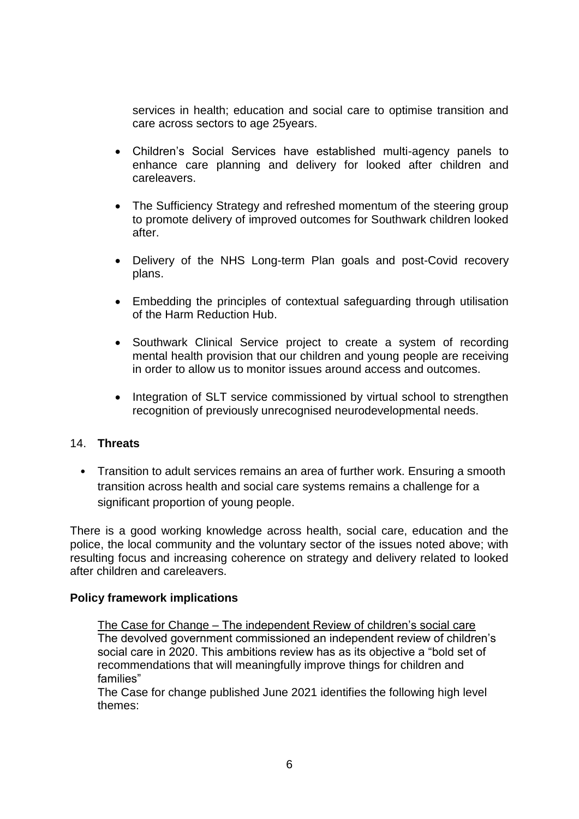services in health; education and social care to optimise transition and care across sectors to age 25years.

- Children's Social Services have established multi-agency panels to enhance care planning and delivery for looked after children and careleavers.
- The Sufficiency Strategy and refreshed momentum of the steering group to promote delivery of improved outcomes for Southwark children looked after.
- Delivery of the NHS Long-term Plan goals and post-Covid recovery plans.
- Embedding the principles of contextual safeguarding through utilisation of the Harm Reduction Hub.
- Southwark Clinical Service project to create a system of recording mental health provision that our children and young people are receiving in order to allow us to monitor issues around access and outcomes.
- Integration of SLT service commissioned by virtual school to strengthen recognition of previously unrecognised neurodevelopmental needs.

#### 14. **Threats**

• Transition to adult services remains an area of further work. Ensuring a smooth transition across health and social care systems remains a challenge for a significant proportion of young people.

There is a good working knowledge across health, social care, education and the police, the local community and the voluntary sector of the issues noted above; with resulting focus and increasing coherence on strategy and delivery related to looked after children and careleavers.

#### **Policy framework implications**

The Case for Change – The independent Review of children's social care The devolved government commissioned an independent review of children's social care in 2020. This ambitions review has as its objective a "bold set of recommendations that will meaningfully improve things for children and families"

The Case for change published June 2021 identifies the following high level themes: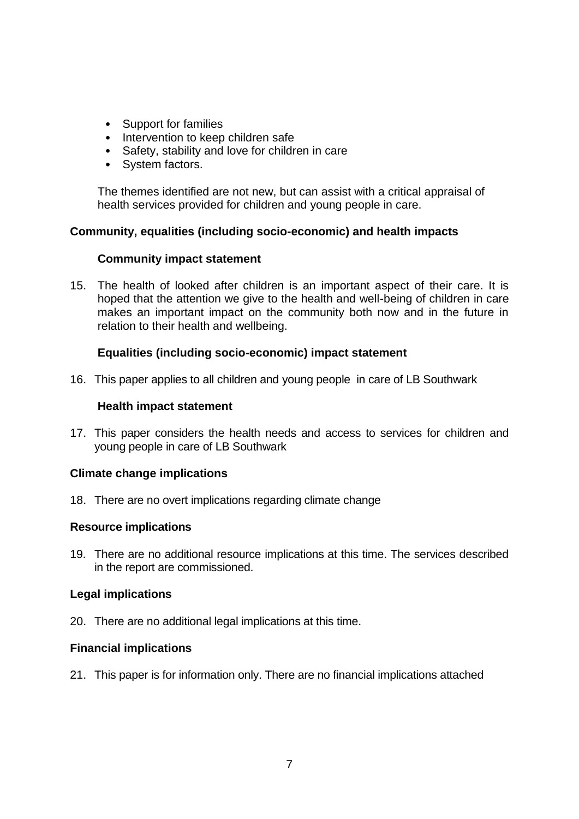- Support for families
- Intervention to keep children safe
- Safety, stability and love for children in care
- System factors.

The themes identified are not new, but can assist with a critical appraisal of health services provided for children and young people in care.

## **Community, equalities (including socio-economic) and health impacts**

#### **Community impact statement**

15. The health of looked after children is an important aspect of their care. It is hoped that the attention we give to the health and well-being of children in care makes an important impact on the community both now and in the future in relation to their health and wellbeing.

# **Equalities (including socio-economic) impact statement**

16. This paper applies to all children and young people in care of LB Southwark

#### **Health impact statement**

17. This paper considers the health needs and access to services for children and young people in care of LB Southwark

# **Climate change implications**

18. There are no overt implications regarding climate change

#### **Resource implications**

19. There are no additional resource implications at this time. The services described in the report are commissioned.

#### **Legal implications**

20. There are no additional legal implications at this time.

#### **Financial implications**

21. This paper is for information only. There are no financial implications attached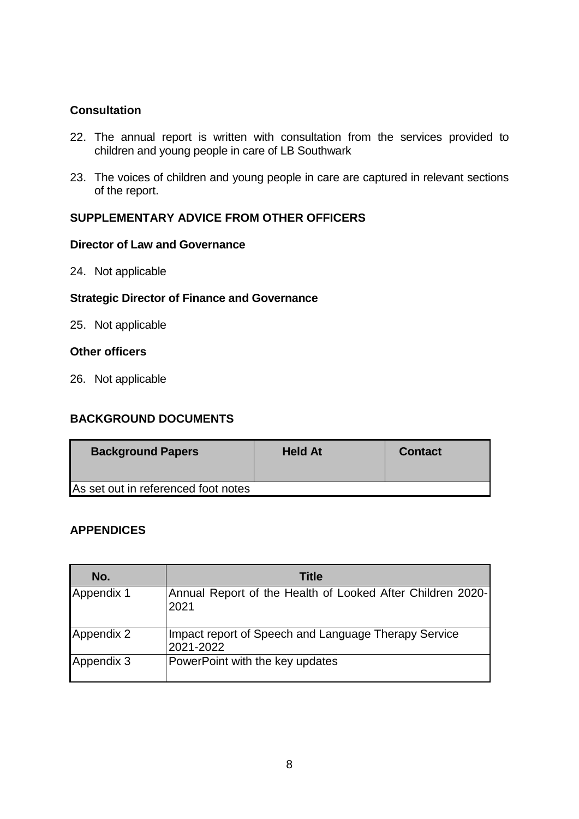## **Consultation**

- 22. The annual report is written with consultation from the services provided to children and young people in care of LB Southwark
- 23. The voices of children and young people in care are captured in relevant sections of the report.

## **SUPPLEMENTARY ADVICE FROM OTHER OFFICERS**

#### **Director of Law and Governance**

24. Not applicable

#### **Strategic Director of Finance and Governance**

25. Not applicable

#### **Other officers**

26. Not applicable

# **BACKGROUND DOCUMENTS**

| <b>Background Papers</b>            | <b>Held At</b> | <b>Contact</b> |
|-------------------------------------|----------------|----------------|
| As set out in referenced foot notes |                |                |

#### **APPENDICES**

| No.        | <b>Title</b>                                                       |
|------------|--------------------------------------------------------------------|
| Appendix 1 | Annual Report of the Health of Looked After Children 2020-<br>2021 |
| Appendix 2 | Impact report of Speech and Language Therapy Service<br>2021-2022  |
| Appendix 3 | PowerPoint with the key updates                                    |